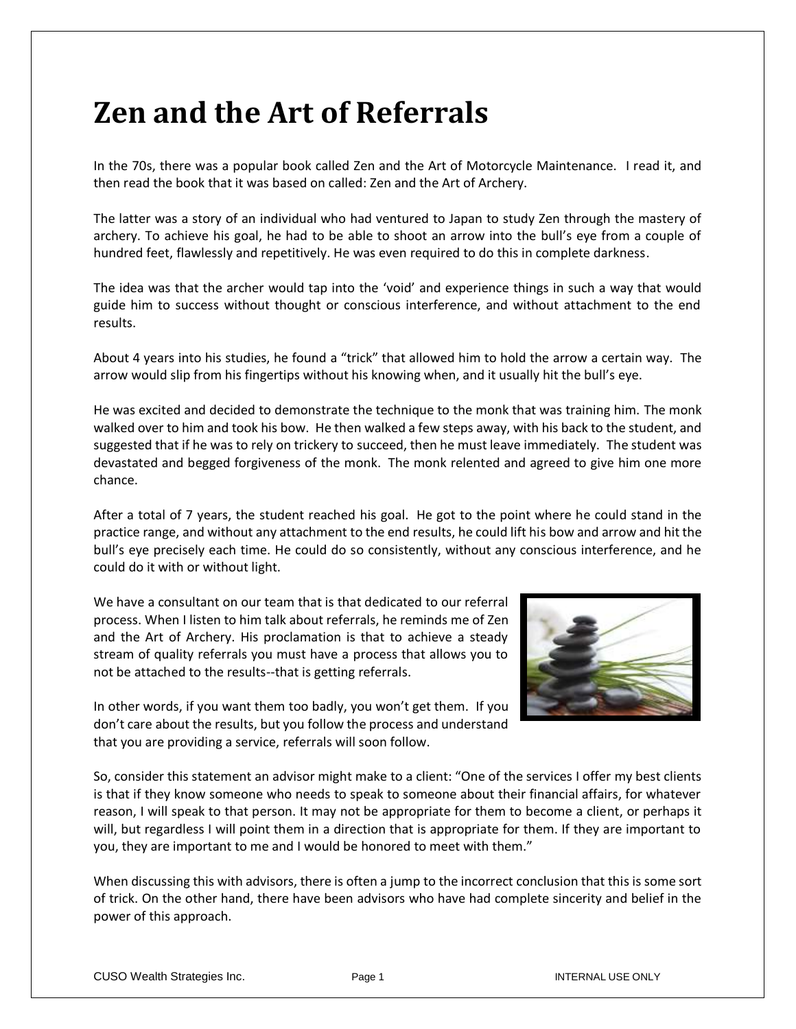## **Zen and the Art of Referrals**

In the 70s, there was a popular book called Zen and the Art of Motorcycle Maintenance. I read it, and then read the book that it was based on called: Zen and the Art of Archery.

The latter was a story of an individual who had ventured to Japan to study Zen through the mastery of archery. To achieve his goal, he had to be able to shoot an arrow into the bull's eye from a couple of hundred feet, flawlessly and repetitively. He was even required to do this in complete darkness.

The idea was that the archer would tap into the 'void' and experience things in such a way that would guide him to success without thought or conscious interference, and without attachment to the end results.

About 4 years into his studies, he found a "trick" that allowed him to hold the arrow a certain way. The arrow would slip from his fingertips without his knowing when, and it usually hit the bull's eye.

He was excited and decided to demonstrate the technique to the monk that was training him. The monk walked over to him and took his bow. He then walked a few steps away, with his back to the student, and suggested that if he was to rely on trickery to succeed, then he must leave immediately. The student was devastated and begged forgiveness of the monk. The monk relented and agreed to give him one more chance.

After a total of 7 years, the student reached his goal. He got to the point where he could stand in the practice range, and without any attachment to the end results, he could lift his bow and arrow and hit the bull's eye precisely each time. He could do so consistently, without any conscious interference, and he could do it with or without light.

We have a consultant on our team that is that dedicated to our referral process. When I listen to him talk about referrals, he reminds me of Zen and the Art of Archery. His proclamation is that to achieve a steady stream of quality referrals you must have a process that allows you to not be attached to the results--that is getting referrals.



In other words, if you want them too badly, you won't get them. If you don't care about the results, but you follow the process and understand that you are providing a service, referrals will soon follow.

So, consider this statement an advisor might make to a client: "One of the services I offer my best clients is that if they know someone who needs to speak to someone about their financial affairs, for whatever reason, I will speak to that person. It may not be appropriate for them to become a client, or perhaps it will, but regardless I will point them in a direction that is appropriate for them. If they are important to you, they are important to me and I would be honored to meet with them."

When discussing this with advisors, there is often a jump to the incorrect conclusion that this is some sort of trick. On the other hand, there have been advisors who have had complete sincerity and belief in the power of this approach.